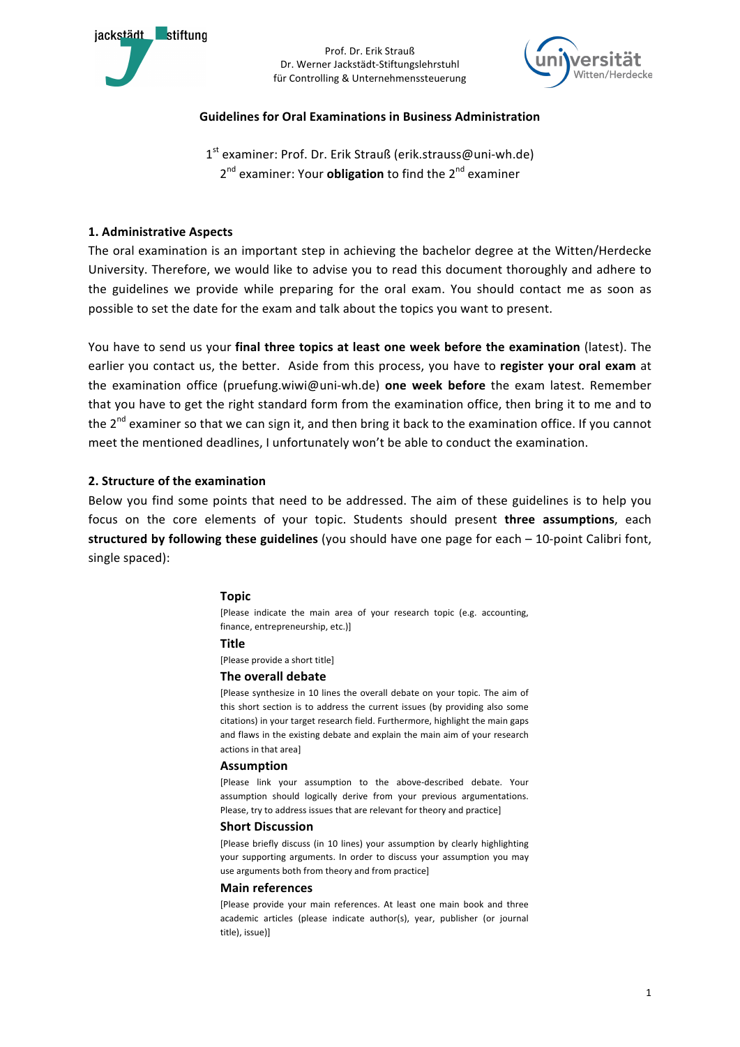

Prof. Dr. Erik Strauß Dr. Werner Jackstädt-Stiftungslehrstuhl für Controlling & Unternehmenssteuerung



## **Guidelines for Oral Examinations in Business Administration**

1<sup>st</sup> examiner: Prof. Dr. Erik Strauß (erik.strauss@uni-wh.de) 2<sup>nd</sup> examiner: Your **obligation** to find the 2<sup>nd</sup> examiner

## **1. Administrative Aspects**

The oral examination is an important step in achieving the bachelor degree at the Witten/Herdecke University. Therefore, we would like to advise you to read this document thoroughly and adhere to the guidelines we provide while preparing for the oral exam. You should contact me as soon as possible to set the date for the exam and talk about the topics you want to present.

You have to send us your final three topics at least one week before the examination (latest). The earlier you contact us, the better. Aside from this process, you have to register your oral exam at the examination office (pruefung.wiwi@uni-wh.de) **one week before** the exam latest. Remember that you have to get the right standard form from the examination office, then bring it to me and to the  $2^{nd}$  examiner so that we can sign it, and then bring it back to the examination office. If you cannot meet the mentioned deadlines, I unfortunately won't be able to conduct the examination.

## **2. Structure of the examination**

Below you find some points that need to be addressed. The aim of these guidelines is to help you focus on the core elements of your topic. Students should present **three assumptions**, each **structured by following these guidelines** (you should have one page for each – 10-point Calibri font, single spaced):

## **Topic**

[Please indicate the main area of your research topic (e.g. accounting, finance, entrepreneurship, etc.)]

### **Title**

[Please provide a short title]

### **The overall debate**

[Please synthesize in 10 lines the overall debate on your topic. The aim of this short section is to address the current issues (by providing also some citations) in your target research field. Furthermore, highlight the main gaps and flaws in the existing debate and explain the main aim of your research actions in that area]

#### **Assumption**

[Please link your assumption to the above-described debate. Your assumption should logically derive from your previous argumentations. Please, try to address issues that are relevant for theory and practice]

#### **Short Discussion**

[Please briefly discuss (in 10 lines) your assumption by clearly highlighting your supporting arguments. In order to discuss your assumption you may use arguments both from theory and from practice]

#### **Main references**

[Please provide your main references. At least one main book and three academic articles (please indicate author(s), year, publisher (or journal title), issue)]